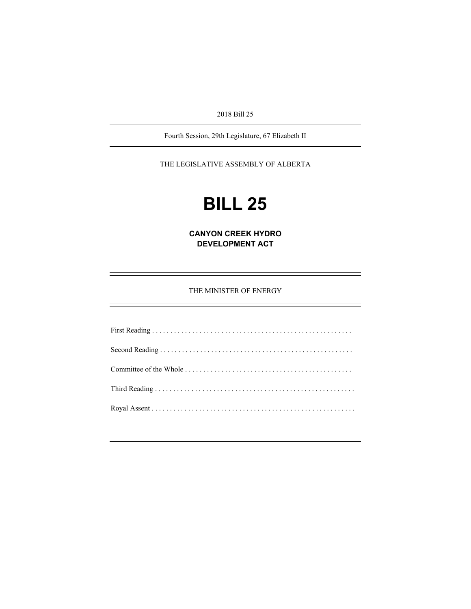2018 Bill 25

Fourth Session, 29th Legislature, 67 Elizabeth II

THE LEGISLATIVE ASSEMBLY OF ALBERTA

# **BILL 25**

**CANYON CREEK HYDRO DEVELOPMENT ACT** 

THE MINISTER OF ENERGY

First Reading . . . . . . . . . . . . . . . . . . . . . . . . . . . . . . . . . . . . . . . . . . . . . . . . . . . . . . . Second Reading . . . . . . . . . . . . . . . . . . . . . . . . . . . . . . . . . . . . . . . . . . . . . . . . . . . . . Committee of the Whole . . . . . . . . . . . . . . . . . . . . . . . . . . . . . . . . . . . . . . . . . . . . . . Third Reading . . . . . . . . . . . . . . . . . . . . . . . . . . . . . . . . . . . . . . . . . . . . . . . . . . . . . . . Royal Assent . . . . . . . . . . . . . . . . . . . . . . . . . . . . . . . . . . . . . . . . . . . . . . . . . . . . . . . .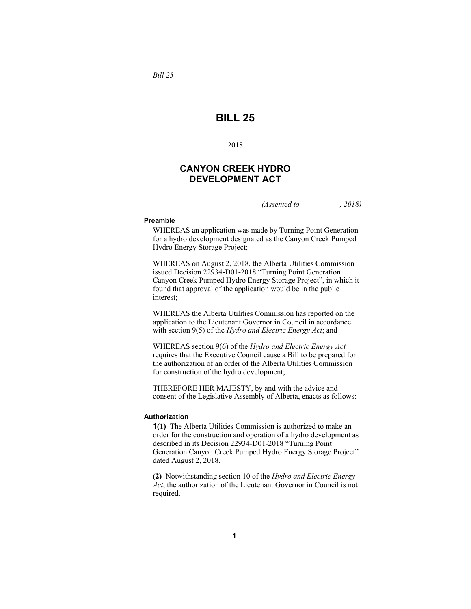*Bill 25* 

## **BILL 25**

2018

### **CANYON CREEK HYDRO DEVELOPMENT ACT**

*(Assented to , 2018)* 

#### **Preamble**

WHEREAS an application was made by Turning Point Generation for a hydro development designated as the Canyon Creek Pumped Hydro Energy Storage Project;

WHEREAS on August 2, 2018, the Alberta Utilities Commission issued Decision 22934-D01-2018 "Turning Point Generation Canyon Creek Pumped Hydro Energy Storage Project", in which it found that approval of the application would be in the public interest;

WHEREAS the Alberta Utilities Commission has reported on the application to the Lieutenant Governor in Council in accordance with section 9(5) of the *Hydro and Electric Energy Act*; and

WHEREAS section 9(6) of the *Hydro and Electric Energy Act* requires that the Executive Council cause a Bill to be prepared for the authorization of an order of the Alberta Utilities Commission for construction of the hydro development;

THEREFORE HER MAJESTY, by and with the advice and consent of the Legislative Assembly of Alberta, enacts as follows:

#### **Authorization**

**1(1)** The Alberta Utilities Commission is authorized to make an order for the construction and operation of a hydro development as described in its Decision 22934-D01-2018 "Turning Point Generation Canyon Creek Pumped Hydro Energy Storage Project" dated August 2, 2018.

**(2)** Notwithstanding section 10 of the *Hydro and Electric Energy Act*, the authorization of the Lieutenant Governor in Council is not required.